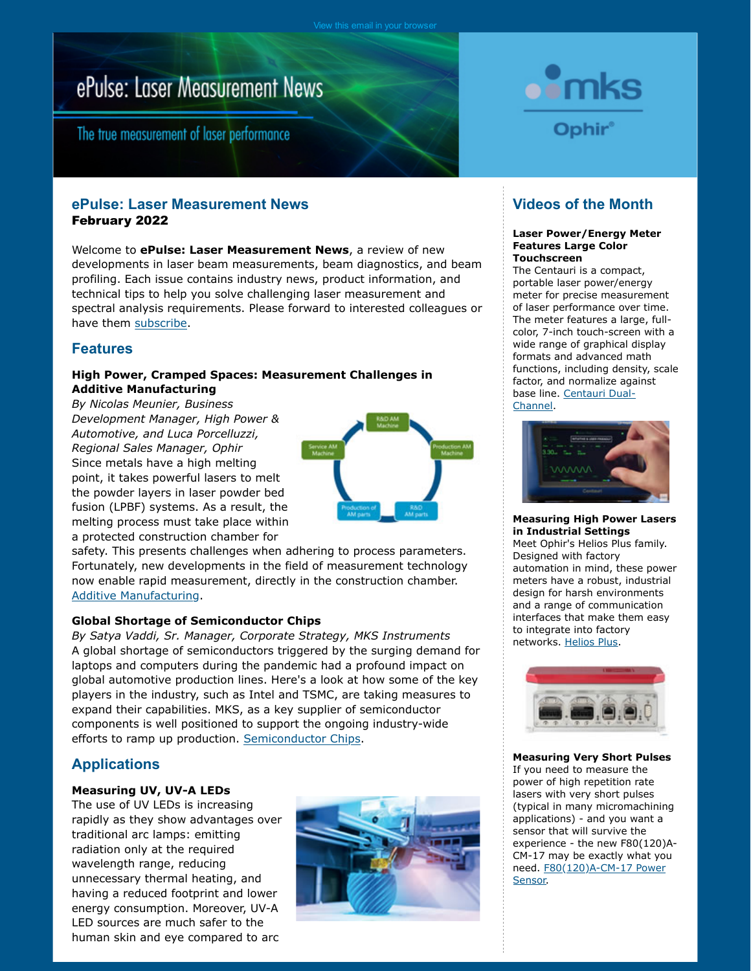# ePulse: Laser Measurement News

The true measurement of laser performance

## **ePulse: Laser Measurement News** February 2022

Welcome to **ePulse: Laser Measurement News**, a review of new developments in laser beam measurements, beam diagnostics, and beam profiling. Each issue contains industry news, product information, and technical tips to help you solve challenging laser measurement and spectral analysis requirements. Please forward to interested colleagues or have them [subscribe.](http://www.surveymonkey.com/s.aspx?sm=MbQ7k89WGJi1ovoj5FL_2bjA_3d_3d)

## **Features**

### **High Power, Cramped Spaces: Measurement Challenges in Additive Manufacturing**

*By Nicolas Meunier, Business Development Manager, High Power & Automotive, and Luca Porcelluzzi, Regional Sales Manager, Ophir* Since metals have a high melting point, it takes powerful lasers to melt the powder layers in laser powder bed fusion (LPBF) systems. As a result, the melting process must take place within a protected construction chamber for



safety. This presents challenges when adhering to process parameters. Fortunately, new developments in the field of measurement technology now enable rapid measurement, directly in the construction chamber. [Additive Manufacturing.](https://www.ophiropt.com/laser--measurement/knowledge-center/article/14514)

## **Global Shortage of Semiconductor Chips**

*By Satya Vaddi, Sr. Manager, Corporate Strategy, MKS Instruments* A global shortage of semiconductors triggered by the surging demand for laptops and computers during the pandemic had a profound impact on global automotive production lines. Here's a look at how some of the key players in the industry, such as Intel and TSMC, are taking measures to expand their capabilities. MKS, as a key supplier of semiconductor components is well positioned to support the ongoing industry-wide efforts to ramp up production. [Semiconductor Chips.](https://blog.ophiropt.com/global-shortage-of-semiconductor-chips)

## **Applications**

#### **Measuring UV, UV-A LEDs**

The use of UV LEDs is increasing rapidly as they show advantages over traditional arc lamps: emitting radiation only at the required wavelength range, reducing unnecessary thermal heating, and having a reduced footprint and lower energy consumption. Moreover, UV-A LED sources are much safer to the human skin and eye compared to arc





# **Videos of the Month**

#### **Laser Power/Energy Meter Features Large Color Touchscreen**

The Centauri is a compact, portable laser power/energy meter for precise measurement of laser performance over time. The meter features a large, fullcolor, 7-inch touch-screen with a wide range of graphical display formats and advanced math functions, including density, scale factor, and normalize against base line. [Centauri Dual-](https://www.ophiropt.com/laser--measurement/knowledge-center/video/13232)[Channel.](https://www.ophiropt.com/laser--measurement/knowledge-center/video/13232)



#### **Measuring High Power Lasers in Industrial Settings**

Meet Ophir's Helios Plus family. Designed with factory automation in mind, these power meters have a robust, industrial design for harsh environments and a range of communication interfaces that make them easy to integrate into factory networks. [Helios Plus.](https://www.ophiropt.com/laser--measurement/knowledge-center/video/14490)



**Measuring Very Short Pulses** If you need to measure the power of high repetition rate lasers with very short pulses (typical in many micromachining applications) - and you want a sensor that will survive the experience - the new F80(120)A-CM-17 may be exactly what you need. [F80\(120\)A-CM-17 Power](https://www.ophiropt.com/laser--measurement/knowledge-center/video/14491) [Sensor.](https://www.ophiropt.com/laser--measurement/knowledge-center/video/14491)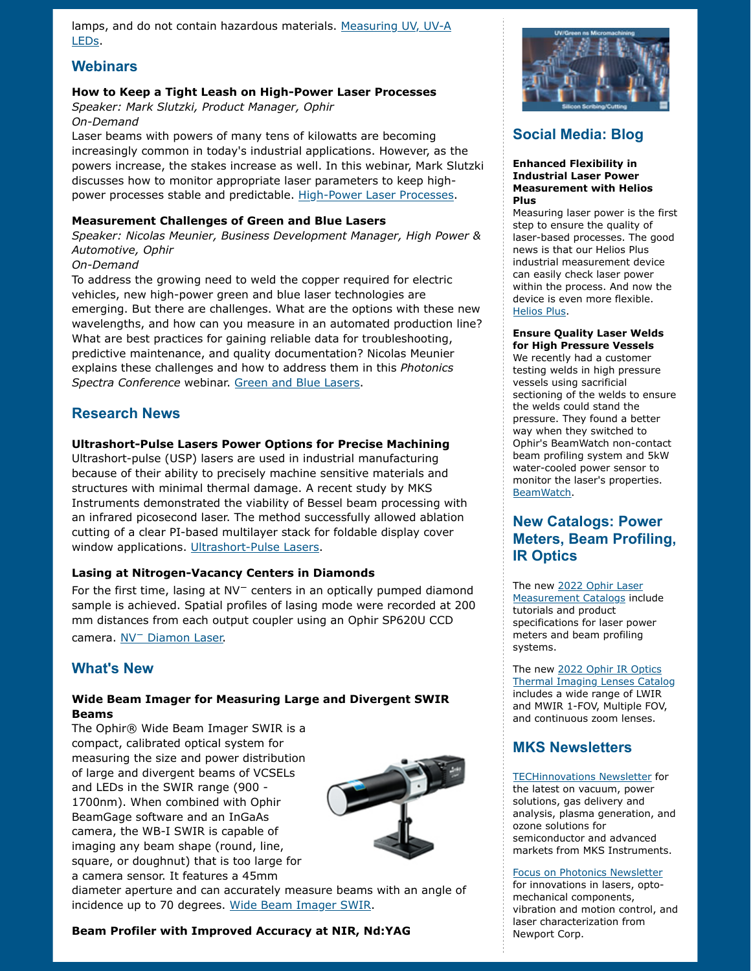lamps, and do not contain hazardous materials. [Measuring UV, UV-A](https://www.ophiropt.com/laser--measurement/applications/uva) [LEDs.](https://www.ophiropt.com/laser--measurement/applications/uva)

## **Webinars**

#### **How to Keep a Tight Leash on High-Power Laser Processes**

*Speaker: Mark Slutzki, Product Manager, Ophir On-Demand*

Laser beams with powers of many tens of kilowatts are becoming increasingly common in today's industrial applications. However, as the powers increase, the stakes increase as well. In this webinar, Mark Slutzki discusses how to monitor appropriate laser parameters to keep high-power processes stable and predictable. [High-Power Laser Processes.](https://www.ophiropt.com/laser--measurement/knowledge-center/video/14498)

#### **Measurement Challenges of Green and Blue Lasers**

*Speaker: Nicolas Meunier, Business Development Manager, High Power & Automotive, Ophir*

#### *On-Demand*

To address the growing need to weld the copper required for electric vehicles, new high-power green and blue laser technologies are emerging. But there are challenges. What are the options with these new wavelengths, and how can you measure in an automated production line? What are best practices for gaining reliable data for troubleshooting, predictive maintenance, and quality documentation? Nicolas Meunier explains these challenges and how to address them in this *Photonics Spectra Conference* webinar. [Green and Blue Lasers.](https://www.photonics.com/Webinars/Measurement_Challenges_of_Green_and_Blue_Lasers/w536)

## **Research News**

#### **Ultrashort-Pulse Lasers Power Options for Precise Machining**

Ultrashort-pulse (USP) lasers are used in industrial manufacturing because of their ability to precisely machine sensitive materials and structures with minimal thermal damage. A recent study by MKS Instruments demonstrated the viability of Bessel beam processing with an infrared picosecond laser. The method successfully allowed ablation cutting of a clear PI-based multilayer stack for foldable display cover window applications. [Ultrashort-Pulse Lasers.](https://www.photonics.com/Articles/Ultrashort-Pulse_Lasers_Power_Options_for_Precise/p5/vo202/i1282/a67318)

#### **Lasing at Nitrogen-Vacancy Centers in Diamonds**

For the first time, lasing at NV− centers in an optically pumped diamond sample is achieved. Spatial profiles of lasing mode were recorded at 200 mm distances from each output coupler using an Ophir SP620U CCD camera. [NV](https://www.nature.com/articles/s41467-021-27470-7)[−](https://www.nature.com/articles/s41467-021-27470-7) [Diamon Laser.](https://www.nature.com/articles/s41467-021-27470-7)

## **What's New**

#### **Wide Beam Imager for Measuring Large and Divergent SWIR Beams**

The Ophir® Wide Beam Imager SWIR is a compact, calibrated optical system for measuring the size and power distribution of large and divergent beams of VCSELs and LEDs in the SWIR range (900 - 1700nm). When combined with Ophir BeamGage software and an InGaAs camera, the WB-I SWIR is capable of imaging any beam shape (round, line, square, or doughnut) that is too large for a camera sensor. It features a 45mm



diameter aperture and can accurately measure beams with an angle of incidence up to 70 degrees. [Wide Beam Imager SWIR.](https://www.ophiropt.com/laser--measurement/node/14467)

#### **Beam Profiler with Improved Accuracy at NIR, Nd:YAG**



# **Social Media: Blog**

#### **Enhanced Flexibility in Industrial Laser Power Measurement with Helios Plus**

Measuring laser power is the first step to ensure the quality of laser-based processes. The good news is that our Helios Plus industrial measurement device can easily check laser power within the process. And now the device is even more flexible. [Helios Plus.](https://blog.ophiropt.com/enhanced-flexibility-in-industrial-laser-power-measurement-with-helios-plus/)

#### **Ensure Quality Laser Welds for High Pressure Vessels**

We recently had a customer testing welds in high pressure vessels using sacrificial sectioning of the welds to ensure the welds could stand the pressure. They found a better way when they switched to Ophir's BeamWatch non-contact beam profiling system and 5kW water-cooled power sensor to monitor the laser's properties. [BeamWatch.](https://blog.ophiropt.com/ensure-quality-laser-welds-for-high-pressure-vessels/)

# **New Catalogs: Power Meters, Beam Profiling, IR Optics**

The ne[w 2022 Ophir Laser](https://www.ophiropt.com/laser--measurement/beam-profilers/services/catalog-download) [Measurement Catalogs](https://www.ophiropt.com/laser--measurement/beam-profilers/services/catalog-download) include tutorials and product specifications for laser power meters and beam profiling systems.

The ne[w 2022 Ophir IR Optics](https://www.ophiropt.com/optics/ir-catalog/) [Thermal Imaging Lenses Catalog](https://www.ophiropt.com/optics/ir-catalog/) includes a wide range of LWIR and MWIR 1-FOV, Multiple FOV, and continuous zoom lenses.

## **MKS Newsletters**

[TECHinnovations Newsletter](https://www.mksinst.com/techinnovations-newsletter) for the latest on vacuum, power solutions, gas delivery and analysis, plasma generation, and ozone solutions for semiconductor and advanced markets from MKS Instruments.

#### [Focus on Photonics Newsletter](https://www.newport.com/focus-on-photonics-newsletter)

for innovations in lasers, optomechanical components, vibration and motion control, and laser characterization from Newport Corp.